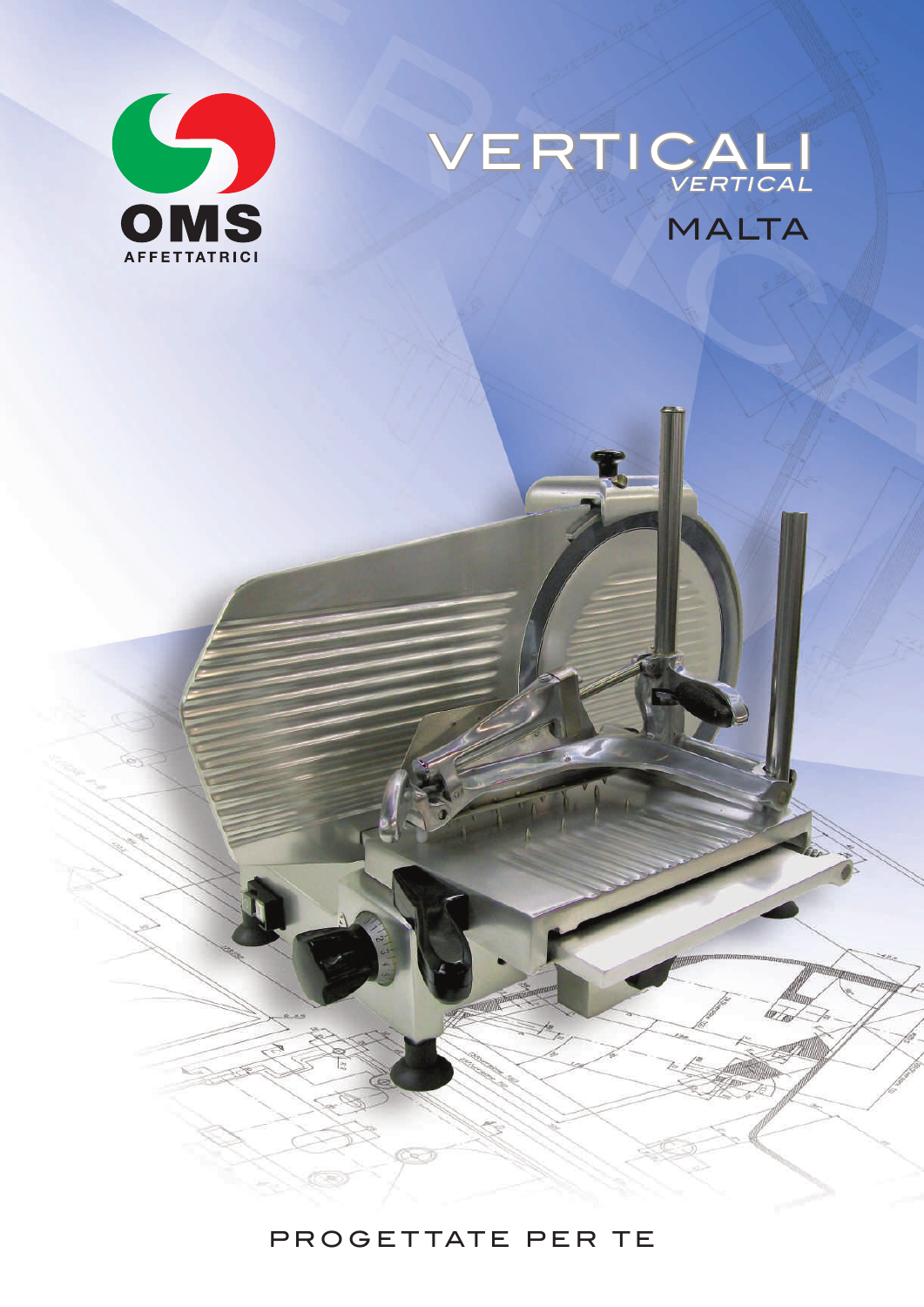



## PROGETTATE PER TE

sa